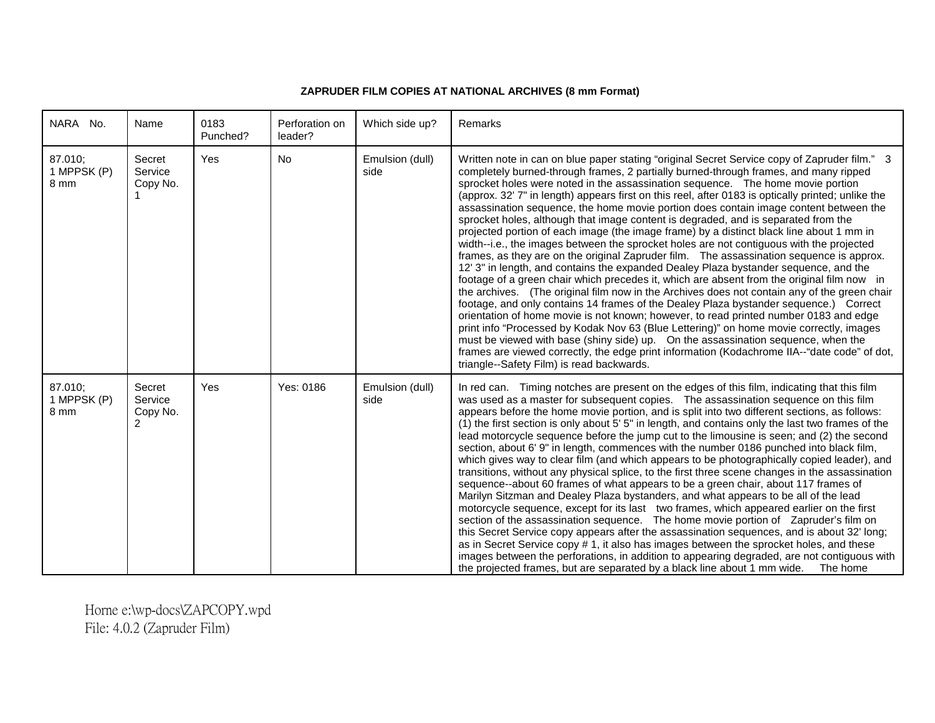## **ZAPRUDER FILM COPIES AT NATIONAL ARCHIVES (8 mm Format)**

| NARA No.                       | Name                                           | 0183<br>Punched? | Perforation on<br>leader? | Which side up?          | Remarks                                                                                                                                                                                                                                                                                                                                                                                                                                                                                                                                                                                                                                                                                                                                                                                                                                                                                                                                                                                                                                                                                                                                                                                                                                                                                                                                                                                                                                                                                                                                                                                                                                               |
|--------------------------------|------------------------------------------------|------------------|---------------------------|-------------------------|-------------------------------------------------------------------------------------------------------------------------------------------------------------------------------------------------------------------------------------------------------------------------------------------------------------------------------------------------------------------------------------------------------------------------------------------------------------------------------------------------------------------------------------------------------------------------------------------------------------------------------------------------------------------------------------------------------------------------------------------------------------------------------------------------------------------------------------------------------------------------------------------------------------------------------------------------------------------------------------------------------------------------------------------------------------------------------------------------------------------------------------------------------------------------------------------------------------------------------------------------------------------------------------------------------------------------------------------------------------------------------------------------------------------------------------------------------------------------------------------------------------------------------------------------------------------------------------------------------------------------------------------------------|
| 87.010:<br>1 MPPSK (P)<br>8 mm | Secret<br>Service<br>Copy No.                  | Yes              | <b>No</b>                 | Emulsion (dull)<br>side | Written note in can on blue paper stating "original Secret Service copy of Zapruder film." 3<br>completely burned-through frames, 2 partially burned-through frames, and many ripped<br>sprocket holes were noted in the assassination sequence. The home movie portion<br>(approx. 32' 7" in length) appears first on this reel, after 0183 is optically printed; unlike the<br>assassination sequence, the home movie portion does contain image content between the<br>sprocket holes, although that image content is degraded, and is separated from the<br>projected portion of each image (the image frame) by a distinct black line about 1 mm in<br>width--i.e., the images between the sprocket holes are not contiguous with the projected<br>frames, as they are on the original Zapruder film. The assassination sequence is approx.<br>12' 3" in length, and contains the expanded Dealey Plaza bystander sequence, and the<br>footage of a green chair which precedes it, which are absent from the original film now in<br>the archives. (The original film now in the Archives does not contain any of the green chair<br>footage, and only contains 14 frames of the Dealey Plaza bystander sequence.) Correct<br>orientation of home movie is not known; however, to read printed number 0183 and edge<br>print info "Processed by Kodak Nov 63 (Blue Lettering)" on home movie correctly, images<br>must be viewed with base (shiny side) up. On the assassination sequence, when the<br>frames are viewed correctly, the edge print information (Kodachrome IIA--"date code" of dot,<br>triangle--Safety Film) is read backwards. |
| 87.010:<br>1 MPPSK (P)<br>8 mm | Secret<br>Service<br>Copy No.<br>$\mathcal{P}$ | Yes              | Yes: 0186                 | Emulsion (dull)<br>side | In red can. Timing notches are present on the edges of this film, indicating that this film<br>was used as a master for subsequent copies. The assassination sequence on this film<br>appears before the home movie portion, and is split into two different sections, as follows:<br>(1) the first section is only about 5' 5" in length, and contains only the last two frames of the<br>lead motorcycle sequence before the jump cut to the limousine is seen; and (2) the second<br>section, about 6'9" in length, commences with the number 0186 punched into black film,<br>which gives way to clear film (and which appears to be photographically copied leader), and<br>transitions, without any physical splice, to the first three scene changes in the assassination<br>sequence--about 60 frames of what appears to be a green chair, about 117 frames of<br>Marilyn Sitzman and Dealey Plaza bystanders, and what appears to be all of the lead<br>motorcycle sequence, except for its last two frames, which appeared earlier on the first<br>section of the assassination sequence. The home movie portion of Zapruder's film on<br>this Secret Service copy appears after the assassination sequences, and is about 32' long;<br>as in Secret Service copy # 1, it also has images between the sprocket holes, and these<br>images between the perforations, in addition to appearing degraded, are not contiguous with<br>the projected frames, but are separated by a black line about 1 mm wide.<br>The home                                                                                                                      |

Horne e:\wp-docs\ZAPCOPY.wpd File: 4.0.2 (Zapruder Film)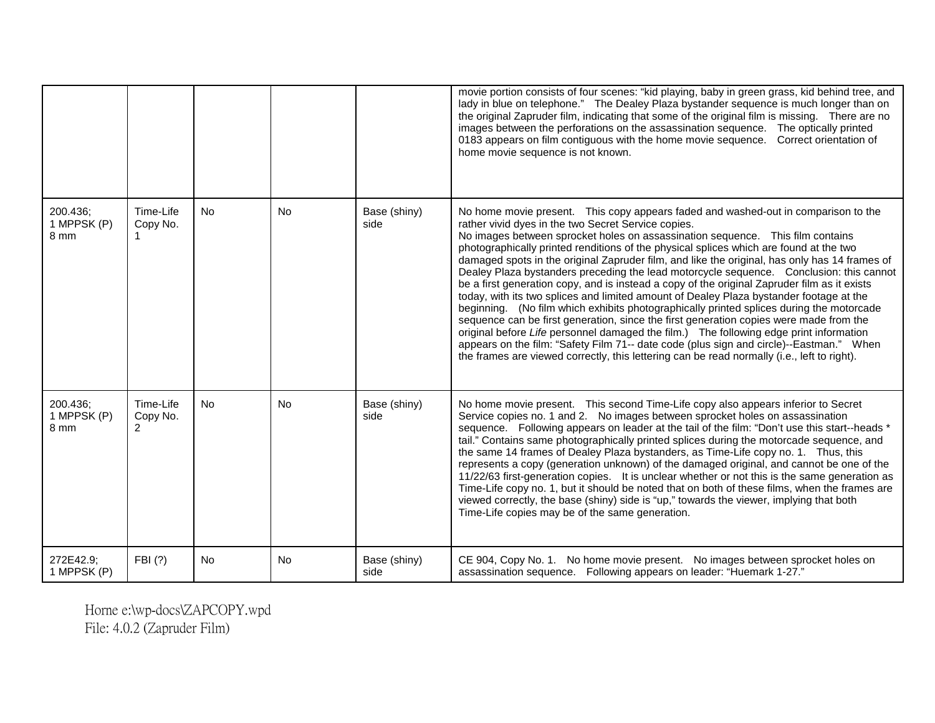|                                 |                                         |           |           |                      | movie portion consists of four scenes: "kid playing, baby in green grass, kid behind tree, and<br>lady in blue on telephone." The Dealey Plaza bystander sequence is much longer than on<br>the original Zapruder film, indicating that some of the original film is missing. There are no<br>images between the perforations on the assassination sequence.  The optically printed<br>0183 appears on film contiguous with the home movie sequence.  Correct orientation of<br>home movie sequence is not known.                                                                                                                                                                                                                                                                                                                                                                                                                                                                                                                                                                                                                                                                      |
|---------------------------------|-----------------------------------------|-----------|-----------|----------------------|----------------------------------------------------------------------------------------------------------------------------------------------------------------------------------------------------------------------------------------------------------------------------------------------------------------------------------------------------------------------------------------------------------------------------------------------------------------------------------------------------------------------------------------------------------------------------------------------------------------------------------------------------------------------------------------------------------------------------------------------------------------------------------------------------------------------------------------------------------------------------------------------------------------------------------------------------------------------------------------------------------------------------------------------------------------------------------------------------------------------------------------------------------------------------------------|
| 200.436;<br>1 MPPSK (P)<br>8 mm | Time-Life<br>Copy No.<br>-1             | <b>No</b> | <b>No</b> | Base (shiny)<br>side | No home movie present. This copy appears faded and washed-out in comparison to the<br>rather vivid dyes in the two Secret Service copies.<br>No images between sprocket holes on assassination sequence. This film contains<br>photographically printed renditions of the physical splices which are found at the two<br>damaged spots in the original Zapruder film, and like the original, has only has 14 frames of<br>Dealey Plaza bystanders preceding the lead motorcycle sequence. Conclusion: this cannot<br>be a first generation copy, and is instead a copy of the original Zapruder film as it exists<br>today, with its two splices and limited amount of Dealey Plaza bystander footage at the<br>beginning. (No film which exhibits photographically printed splices during the motorcade<br>sequence can be first generation, since the first generation copies were made from the<br>original before Life personnel damaged the film.) The following edge print information<br>appears on the film: "Safety Film 71-- date code (plus sign and circle)--Eastman." When<br>the frames are viewed correctly, this lettering can be read normally (i.e., left to right). |
| 200.436;<br>1 MPPSK (P)<br>8 mm | Time-Life<br>Copy No.<br>$\overline{2}$ | <b>No</b> | <b>No</b> | Base (shiny)<br>side | No home movie present. This second Time-Life copy also appears inferior to Secret<br>Service copies no. 1 and 2. No images between sprocket holes on assassination<br>sequence. Following appears on leader at the tail of the film: "Don't use this start--heads *<br>tail." Contains same photographically printed splices during the motorcade sequence, and<br>the same 14 frames of Dealey Plaza bystanders, as Time-Life copy no. 1. Thus, this<br>represents a copy (generation unknown) of the damaged original, and cannot be one of the<br>11/22/63 first-generation copies. It is unclear whether or not this is the same generation as<br>Time-Life copy no. 1, but it should be noted that on both of these films, when the frames are<br>viewed correctly, the base (shiny) side is "up," towards the viewer, implying that both<br>Time-Life copies may be of the same generation.                                                                                                                                                                                                                                                                                      |
| 272E42.9;<br>1 MPPSK (P)        | FBI (?)                                 | <b>No</b> | <b>No</b> | Base (shiny)<br>side | CE 904, Copy No. 1. No home movie present. No images between sprocket holes on<br>assassination sequence. Following appears on leader: "Huemark 1-27."                                                                                                                                                                                                                                                                                                                                                                                                                                                                                                                                                                                                                                                                                                                                                                                                                                                                                                                                                                                                                                 |

Horne e:\wp-docs\ZAPCOPY.wpd File: 4.0.2 (Zapruder Film)